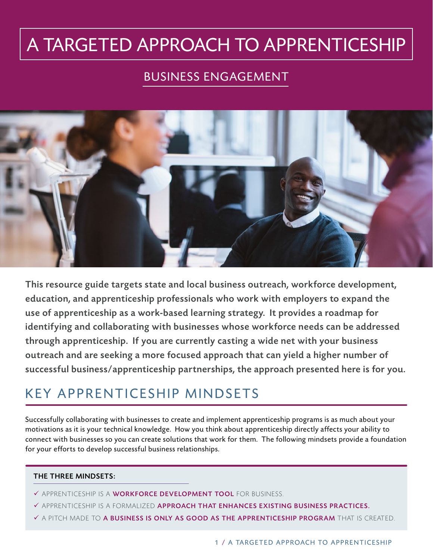# A TARGETED APPROACH TO APPRENTICESHIP

### BUSINESS ENGAGEMENT



This resource guide targets state and local business outreach, workforce development, education, and apprenticeship professionals who work with employers to expand the use of apprenticeship as a work-based learning strategy. It provides a roadmap for identifying and collaborating with businesses whose workforce needs can be addressed through apprenticeship. If you are currently casting a wide net with your business outreach and are seeking a more focused approach that can yield a higher number of successful business/apprenticeship partnerships, the approach presented here is for you.

### KEY APPRENTICESHIP MINDSETS

Successfully collaborating with businesses to create and implement apprenticeship programs is as much about your motivations as it is your technical knowledge. How you think about apprenticeship directly affects your ability to connect with businesses so you can create solutions that work for them. The following mindsets provide a foundation for your efforts to develop successful business relationships.

#### THE THREE MINDSETS:

- √ APPRENTICESHIP IS A WORKFORCE DEVELOPMENT TOOL FOR BUSINESS.
- $\checkmark$  APPRENTICESHIP IS A FORMALIZED APPROACH THAT ENHANCES EXISTING BUSINESS PRACTICES.
- $\checkmark$  a pitch made to **a business is only as good as the apprenticeship program** that is created.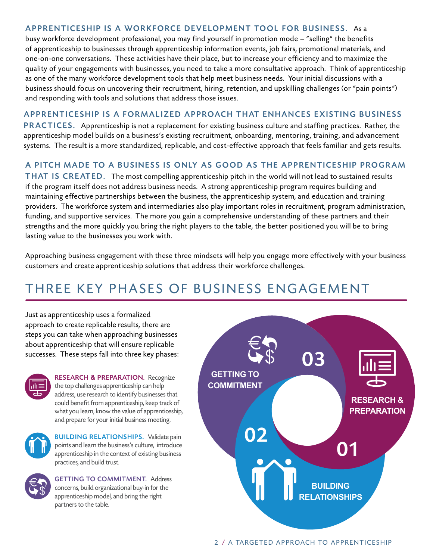#### APPRENTICESHIP IS A WORKFORCE DEVELOPMENT TOOL FOR BUSINESS. As a

busy workforce development professional, you may find yourself in promotion mode – "selling" the benefits of apprenticeship to businesses through apprenticeship information events, job fairs, promotional materials, and one-on-one conversations. These activities have their place, but to increase your efficiency and to maximize the quality of your engagements with businesses, you need to take a more consultative approach. Think of apprenticeship as one of the many workforce development tools that help meet business needs. Your initial discussions with a business should focus on uncovering their recruitment, hiring , retention, and upskilling challenges (or "pain points") and responding with tools and solutions that address those issues.

#### APPRENTICESHIP IS A FORMALIZED APPROACH THAT ENHANCES EXISTING BUSINESS

PRACTICES. Apprenticeship is not a replacement for existing business culture and staffing practices. Rather, the apprenticeship model builds on a business's existing recruitment, onboarding, mentoring, training, and advancement systems. The result is a more standardized, replicable, and cost-effective approach that feels familiar and gets results.

#### A PITCH MADE TO A BUSINESS IS ONLY AS GOOD AS THE APPRENTICESHIP PROGRAM

THAT IS CREATED. The most compelling apprenticeship pitch in the world will not lead to sustained results if the program itself does not address business needs. A strong apprenticeship program requires building and maintaining effective partnerships between the business, the apprenticeship system, and education and training providers. The workforce system and intermediaries also play important roles in recruitment, program administration, funding, and supportive services. The more you gain a comprehensive understanding of these partners and their strengths and the more quickly you bring the right players to the table, the better positioned you will be to bring lasting value to the businesses you work with.

Approaching business engagement with these three mindsets will help you engage more effectively with your business customers and create apprenticeship solutions that address their workforce challenges.

### THREE KEY PHASES OF BUSINESS ENGAGEMENT

Just as apprenticeship uses a formalized approach to create replicable results, there are steps you can take when approaching businesses about apprenticeship that will ensure replicable successes. These steps fall into three key phases:



RESEARCH **&** PREPARATION. Recognize the top challenges apprenticeship can help address, use research to identify businesses that could benefit from apprenticeship, keep track of what you learn, know the value of apprenticeship, and prepare for your initial business meeting.



**BUILDING RELATIONSHIPS. Validate pain** points and learn the business's culture, introduce apprenticeship in the context of existing business practices, and build trust.



GETTING TO COMMITMENT. Address concerns, build organizational buy-in for the apprenticeship model, and bring the right partners to the table.

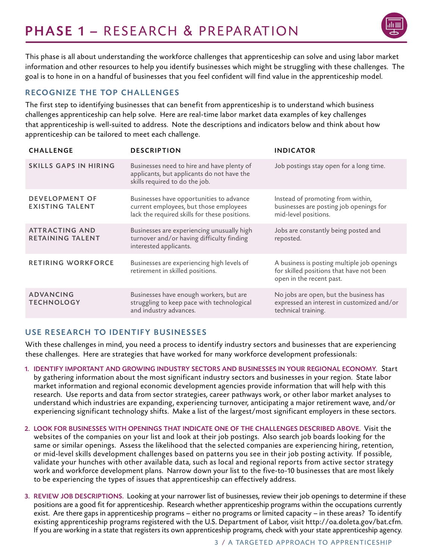# PHASE 1 – RESEARCH & PREPARATION



This phase is all about understanding the workforce challenges that apprenticeship can solve and using labor market information and other resources to help you identify businesses which might be struggling with these challenges. The goal is to hone in on a handful of businesses that you feel confident will find value in the apprenticeship model.

#### RECOGNIZE THE TOP CHALLENGES

The first step to identifying businesses that can benefit from apprenticeship is to understand which business challenges apprenticeship can help solve. Here are real-time labor market data examples of key challenges that apprenticeship is well-suited to address. Note the descriptions and indicators below and think about how apprenticeship can be tailored to meet each challenge.

| <b>CHALLENGE</b>                                 | <b>DESCRIPTION</b>                                                                                                                  | <b>INDICATOR</b>                                                                                                    |  |
|--------------------------------------------------|-------------------------------------------------------------------------------------------------------------------------------------|---------------------------------------------------------------------------------------------------------------------|--|
| <b>SKILLS GAPS IN HIRING</b>                     | Businesses need to hire and have plenty of<br>applicants, but applicants do not have the<br>skills required to do the job.          | Job postings stay open for a long time.                                                                             |  |
| <b>DEVELOPMENT OF</b><br><b>EXISTING TALENT</b>  | Businesses have opportunities to advance<br>current employees, but those employees<br>lack the required skills for these positions. | Instead of promoting from within,<br>businesses are posting job openings for<br>mid-level positions.                |  |
| <b>ATTRACTING AND</b><br><b>RETAINING TALENT</b> | Businesses are experiencing unusually high<br>turnover and/or having difficulty finding<br>interested applicants.                   | Jobs are constantly being posted and<br>reposted.                                                                   |  |
| <b>RETIRING WORKFORCE</b>                        | Businesses are experiencing high levels of<br>retirement in skilled positions.                                                      | A business is posting multiple job openings<br>for skilled positions that have not been<br>open in the recent past. |  |
| <b>ADVANCING</b><br><b>TECHNOLOGY</b>            | Businesses have enough workers, but are<br>struggling to keep pace with technological<br>and industry advances.                     | No jobs are open, but the business has<br>expressed an interest in customized and/or<br>technical training.         |  |

#### USE RESEARCH TO IDENTIFY BUSINESSES

With these challenges in mind, you need a process to identify industry sectors and businesses that are experiencing these challenges. Here are strategies that have worked for many workforce development professionals:

- 1. IDENTIFY IMPORTANT AND GROWING INDUSTRY SECTORS AND BUSINESSES IN YOUR REGIONAL ECONOMY. Start by gathering information about the most significant industry sectors and businesses in your region. State labor market information and regional economic development agencies provide information that will help with this research. Use reports and data from sector strategies, career pathways work, or other labor market analyses to understand which industries are expanding , experiencing turnover, anticipating a major retirement wave, and/or experiencing significant technology shifts. Make a list of the largest/most significant employers in these sectors.
- 2. LOOK FOR BUSINESSES WITH OPENINGS THAT INDICATE ONE OF THE CHALLENGES DESCRIBED ABOVE. Visit the websites of the companies on your list and look at their job postings. Also search job boards looking for the same or similar openings. Assess the likelihood that the selected companies are experiencing hiring, retention, or mid-level skills development challenges based on patterns you see in their job posting activity. If possible, validate your hunches with other available data, such as local and regional reports from active sector strategy work and workforce development plans. Narrow down your list to the five-to-10 businesses that are most likely to be experiencing the types of issues that apprenticeship can effectively address.
- 3. REVIEW JOB DESCRIPTIONS. Looking at your narrower list of businesses, review their job openings to determine if these positions are a good fit for apprenticeship. Research whether apprenticeship programs within the occupations currently exist. Are there gaps in apprenticeship programs – either no programs or limited capacity – in these areas? To identify existing apprenticeship programs registered with the U.S. Department of Labor, visit <http://oa.doleta.gov/bat.cfm>. If you are working in a state that registers its own apprenticeship programs, check with your state apprenticeship agency.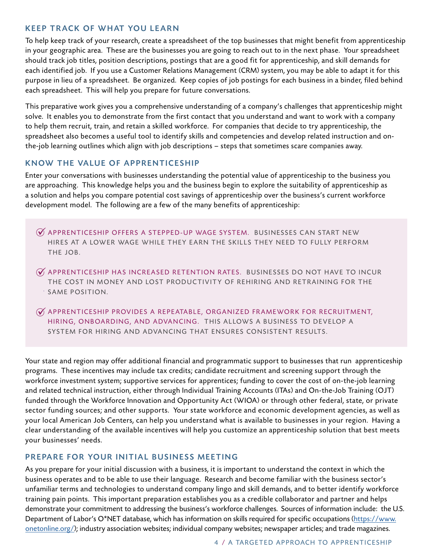#### **KEEP TRACK OF WHAT YOU LEARN**

To help keep track of your research, create a spreadsheet of the top businesses that might benefit from apprenticeship in your geographic area. These are the businesses you are going to reach out to in the next phase. Your spreadsheet should track job titles, position descriptions, postings that are a good fit for apprenticeship, and skill demands for each identified job. If you use a Customer Relations Management (CRM) system, you may be able to adapt it for this purpose in lieu of a spreadsheet. Be organized. Keep copies of job postings for each business in a binder, filed behind each spreadsheet. This will help you prepare for future conversations.

This preparative work gives you a comprehensive understanding of a company's challenges that apprenticeship might solve. It enables you to demonstrate from the first contact that you understand and want to work with a company to help them recruit, train, and retain a skilled workforce. For companies that decide to try apprenticeship, the spreadsheet also becomes a useful tool to identify skills and competencies and develop related instruction and onthe-job learning outlines which align with job descriptions – steps that sometimes scare companies away.

#### KNOW THE VALUE OF APPRENTICESHIP

Enter your conversations with businesses understanding the potential value of apprenticeship to the business you are approaching. This knowledge helps you and the business begin to explore the suitability of apprenticeship as a solution and helps you compare potential cost savings of apprenticeship over the business's current workforce development model. The following are a few of the many benefits of apprenticeship:

- $\widetilde{\boldsymbol{\mathcal{A}}}$  APPRENTICESHIP OFFERS A STEPPED-UP WAGE SYSTEM. BUSINESSES CAN START NEW HIRES AT A LOWER WAGE WHILE THEY EARN THE SKILLS THEY NEED TO FULLY PERFORM THE JOB.
- $\widetilde{\mathscr{A}}$  apprenticeship has increased retention rates. Businesses do not have to incur THE COST IN MONEY AND LOST PRODUCTIVITY OF REHIRING AND RETRAINING FOR THE SAME POSITION.
- $\widetilde{M}$  APPRENTICESHIP PROVIDES A REPEATABLE, ORGANIZED FRAMEWORK FOR RECRUITMENT, HIRING, ONBOARDING, AND ADVANCING. THIS ALLOWS A BUSINESS TO DEVELOP A SYSTEM FOR HIRING AND ADVANCING THAT ENSURES CONSISTENT RESULTS.

Your state and region may offer additional financial and programmatic support to businesses that run apprenticeship programs. These incentives may include tax credits; candidate recruitment and screening support through the workforce investment system; supportive services for apprentices; funding to cover the cost of on-the-job learning and related technical instruction, either through Individual Training Accounts (ITAs) and On-the-Job Training (OJT) funded through the Workforce Innovation and Opportunity Act (WIOA) or through other federal, state, or private sector funding sources; and other supports. Your state workforce and economic development agencies, as well as your local American Job Centers, can help you understand what is available to businesses in your region. Having a clear understanding of the available incentives will help you customize an apprenticeship solution that best meets your businesses' needs.

#### PREPARE FOR YOUR INITIAL BUSINESS MEETING

As you prepare for your initial discussion with a business, it is important to understand the context in which the business operates and to be able to use their language. Research and become familiar with the business sector's unfamiliar terms and technologies to understand company lingo and skill demands, and to better identify workforce training pain points. This important preparation establishes you as a credible collaborator and partner and helps demonstrate your commitment to addressing the business's workforce challenges. Sources of information include: the U.S. Department of Labor's O\*NET database, which has information on skills required for specific occupations ([https://www.](https://www.onetonline.org/) [onetonline.org/](https://www.onetonline.org/)); industry association websites; individual company websites; newspaper articles; and trade magazines.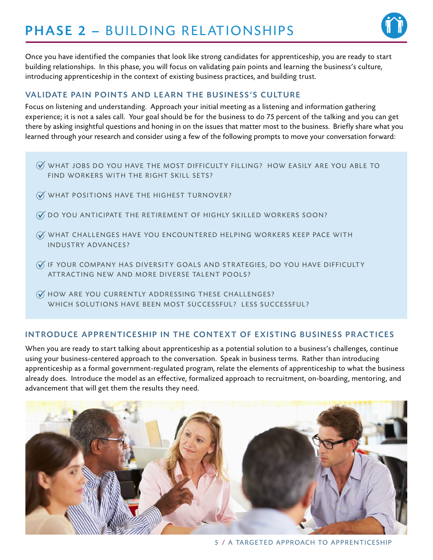# **PHASE 2 - BUILDING RELATIONSHIPS**



Once you have identified the companies that look like strong candidates for apprenticeship, you are ready to start building relationships. In this phase, you will focus on validating pain points and learning the business's culture, introducing apprenticeship in the context of existing business practices, and building trust.

#### VALIDATE PAIN POINTS AND LEARN THE BUSINESS'S CULTURE

Focus on listening and understanding. Approach your initial meeting as a listening and information gathering experience; it is not a sales call. Your goal should be for the business to do 75 percent of the talking and you can get there by asking insightful questions and honing in on the issues that matter most to the business. Briefly share what you learned through your research and consider using a few of the following prompts to move your conversation forward:<br> $\%$  WHAT JOBS DO YOU HAVE THE MOST DIFFICULTY FILLING? HOW EASILY ARE YOU ABLE TO

- FIND WORKERS WITH THE RIGHT SKILL SETS?
- $\mathscr G$  what positions have the highest turnover?
- $\widetilde{\mathscr{G}}$  do you anticipate the retirement of highly skilled workers soon?
- $\widetilde{\mathscr{G}}$  WHAT CHALLENGES HAVE YOU ENCOUNTERED HELPING WORKERS KEEP PACE WITH INDUSTRY ADVANCES?
- $\mathscr G$  if YOUR COMPANY HAS DIVERSITY GOALS AND STRATEGIES, DO YOU HAVE DIFFICULTY ATTRACTING NEW AND MORE DIVERSE TALENT POOLS?
- $\mathscr G$  how are you currently addressing these challenges? WHICH SOLUTIONS HAVE BEEN MOST SUCCESSFUL? LESS SUCCESSFUL?

#### INTRODUCE APPRENTICESHIP IN THE CONTEXT OF EXISTING BUSINESS PRACTICES

When you are ready to start talking about apprenticeship as a potential solution to a business's challenges, continue using your business-centered approach to the conversation. Speak in business terms. Rather than introducing apprenticeship as a formal government-regulated program, relate the elements of apprenticeship to what the business already does. Introduce the model as an effective, formalized approach to recruitment, on-boarding, mentoring, and ■ WHAT JOBS DO YOU HAVE THE MOST DIFF<br>FIND WORKERS WITH THE RIGHT SKILL SE<br>
■ WHAT POSITIONS HAVE THE HIGHEST TUR<br>
■ WHAT CHALLENGES HAVE YOU ENCOUNTI<br>
INDUSTRY ADVANCES?<br>
■ INDUSTRY ADVANCES?<br>
■ INDUSTRY ADVANCES?<br>
■ INT

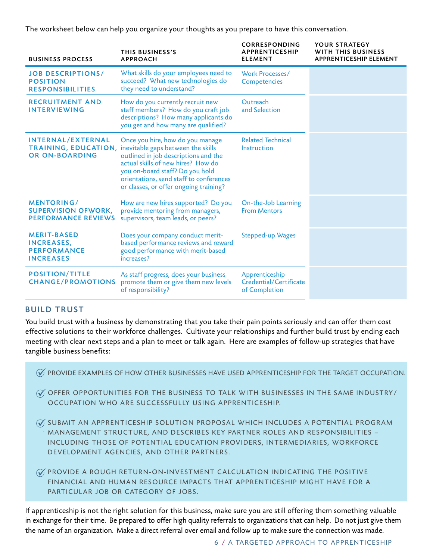The worksheet below can help you organize your thoughts as you prepare to have this conversation.

| <b>BUSINESS PROCESS</b>                                                           | THIS BUSINESS'S<br><b>APPROACH</b>                                                                                                                                                                                                                                                                | <b>CORRESPONDING</b><br><b>APPRENTICESHIP</b><br><b>ELEMENT</b> | YOUR STRATEGY<br>WITH THIS BUSINESS<br><b>APPRENTICESHIP ELEMENT</b> |
|-----------------------------------------------------------------------------------|---------------------------------------------------------------------------------------------------------------------------------------------------------------------------------------------------------------------------------------------------------------------------------------------------|-----------------------------------------------------------------|----------------------------------------------------------------------|
| <b>JOB DESCRIPTIONS/</b><br><b>POSITION</b><br><b>RESPONSIBILITIES</b>            | What skills do your employees need to<br>succeed? What new technologies do<br>they need to understand?                                                                                                                                                                                            | Work Processes/<br>Competencies                                 |                                                                      |
| <b>RECRUITMENT AND</b><br><b>INTERVIEWING</b>                                     | How do you currently recruit new<br>staff members? How do you craft job<br>descriptions? How many applicants do<br>you get and how many are qualified?                                                                                                                                            | Outreach<br>and Selection                                       |                                                                      |
| INTERNAL/EXTERNAL<br><b>OR ON-BOARDING</b>                                        | Once you hire, how do you manage<br>TRAINING, EDUCATION, inevitable gaps between the skills<br>outlined in job descriptions and the<br>actual skills of new hires? How do<br>you on-board staff? Do you hold<br>orientations, send staff to conferences<br>or classes, or offer ongoing training? | <b>Related Technical</b><br>Instruction                         |                                                                      |
| <b>MENTORING/</b><br><b>SUPERVISION OFWORK,</b><br><b>PERFORMANCE REVIEWS</b>     | How are new hires supported? Do you<br>provide mentoring from managers,<br>supervisors, team leads, or peers?                                                                                                                                                                                     | On-the-Job Learning<br><b>From Mentors</b>                      |                                                                      |
| <b>MERIT-BASED</b><br><b>INCREASES,</b><br><b>PERFORMANCE</b><br><b>INCREASES</b> | Does your company conduct merit-<br>based performance reviews and reward<br>good performance with merit-based<br>increases?                                                                                                                                                                       | <b>Stepped-up Wages</b>                                         |                                                                      |
| <b>POSITION/TITLE</b><br><b>CHANGE/PROMOTIONS</b>                                 | As staff progress, does your business<br>promote them or give them new levels<br>of responsibility?                                                                                                                                                                                               | Apprenticeship<br>Credential/Certificate<br>of Completion       |                                                                      |

#### BUILD TRUST

You build trust with a business by demonstrating that you take their pain points seriously and can offer them cost effective solutions to their workforce challenges. Cultivate your relationships and further build trust by ending each meeting with clear next steps and a plan to meet or talk again. Here are examples of follow-up strategies that have tangible business benefits:

 $\mathcal G$  provide examples of how other businesses have used apprenticeship for the target occupation.

 $\mathcal C$  offer opportunities for the Business to talk with Businesses in the same industry/ OCCUPATION WHO ARE SUCCESSFULLY USING APPRENTICESHIP.

- $\widetilde{\mathcal{N}}$  submit an apprenticeship solution proposal which includes a potential program MANAGEMENT STRUCTURE, AND DESCRIBES KEY PARTNER ROLES AND RESPONSIBILITIES -INCLUDING THOSE OF POTENTIAL EDUCATION PROVIDERS, INTERMEDIARIES, WORKFORCE DEVELOPMENT AGENCIES, AND OTHER PARTNERS.
- $\mathscr G$  PROVIDE A ROUGH RETURN-ON-INVESTMENT CALCULATION INDICATING THE POSITIVE FINANCIAL AND HUMAN RESOURCE IMPACTS THAT APPRENTICESHIP MIGHT HAVE FOR A PARTICULAR JOB OR CATEGORY OF JOBS.

If apprenticeship is not the right solution for this business, make sure you are still offering them something valuable in exchange for their time. Be prepared to offer high quality referrals to organizations that can help. Do not just give them the name of an organization. Make a direct referral over email and follow up to make sure the connection was made.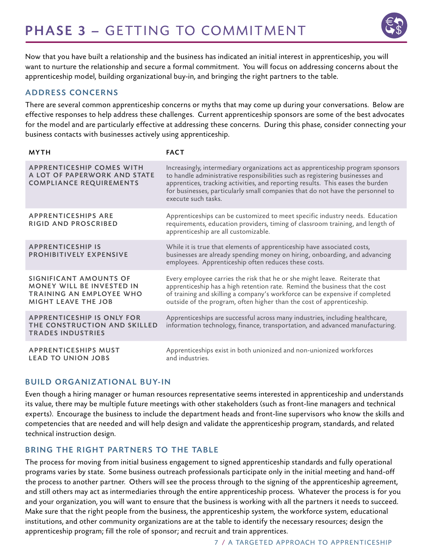

Now that you have built a relationship and the business has indicated an initial interest in apprenticeship, you will want to nurture the relationship and secure a formal commitment. You will focus on addressing concerns about the apprenticeship model, building organizational buy-in, and bringing the right partners to the table.

#### ADDRESS CONCERNS

There are several common apprenticeship concerns or myths that may come up during your conversations. Below are effective responses to help address these challenges. Current apprenticeship sponsors are some of the best advocates for the model and are particularly effective at addressing these concerns. During this phase, consider connecting your business contacts with businesses actively using apprenticeship.

| <b>MYTH</b>                                                                                                                 | <b>FACT</b>                                                                                                                                                                                                                                                                                                                                                |
|-----------------------------------------------------------------------------------------------------------------------------|------------------------------------------------------------------------------------------------------------------------------------------------------------------------------------------------------------------------------------------------------------------------------------------------------------------------------------------------------------|
| <b>APPRENTICESHIP COMES WITH</b><br>A LOT OF PAPERWORK AND STATE<br><b>COMPLIANCE REQUIREMENTS</b>                          | Increasingly, intermediary organizations act as apprenticeship program sponsors<br>to handle administrative responsibilities such as registering businesses and<br>apprentices, tracking activities, and reporting results. This eases the burden<br>for businesses, particularly small companies that do not have the personnel to<br>execute such tasks. |
| <b>APPRENTICESHIPS ARE</b><br><b>RIGID AND PROSCRIBED</b>                                                                   | Apprenticeships can be customized to meet specific industry needs. Education<br>requirements, education providers, timing of classroom training, and length of<br>apprenticeship are all customizable.                                                                                                                                                     |
| <b>APPRENTICESHIP IS</b><br><b>PROHIBITIVELY EXPENSIVE</b>                                                                  | While it is true that elements of apprenticeship have associated costs,<br>businesses are already spending money on hiring, onboarding, and advancing<br>employees. Apprenticeship often reduces these costs.                                                                                                                                              |
| SIGNIFICANT AMOUNTS OF<br><b>MONEY WILL BE INVESTED IN</b><br><b>TRAINING AN EMPLOYEE WHO</b><br><b>MIGHT LEAVE THE JOB</b> | Every employee carries the risk that he or she might leave. Reiterate that<br>apprenticeship has a high retention rate. Remind the business that the cost<br>of training and skilling a company's workforce can be expensive if completed<br>outside of the program, often higher than the cost of apprenticeship.                                         |
| <b>APPRENTICESHIP IS ONLY FOR</b><br>THE CONSTRUCTION AND SKILLED<br><b>TRADES INDUSTRIES</b>                               | Apprenticeships are successful across many industries, including healthcare,<br>information technology, finance, transportation, and advanced manufacturing.                                                                                                                                                                                               |
| <b>APPRENTICESHIPS MUST</b><br><b>LEAD TO UNION JOBS</b>                                                                    | Apprenticeships exist in both unionized and non-unionized workforces<br>and industries.                                                                                                                                                                                                                                                                    |

#### **BUILD ORGANIZATIONAL BUY-IN**

Even though a hiring manager or human resources representative seems interested in apprenticeship and understands its value, there may be multiple future meetings with other stakeholders (such as front-line managers and technical experts). Encourage the business to include the department heads and front-line supervisors who know the skills and competencies that are needed and will help design and validate the apprenticeship program, standards, and related technical instruction design.

#### BRING THE RIGHT PARTNERS TO THE TABLE

The process for moving from initial business engagement to signed apprenticeship standards and fully operational programs varies by state. Some business outreach professionals participate only in the initial meeting and hand-off the process to another partner. Others will see the process through to the signing of the apprenticeship agreement, and still others may act as intermediaries through the entire apprenticeship process. Whatever the process is for you and your organization, you will want to ensure that the business is working with all the partners it needs to succeed. Make sure that the right people from the business, the apprenticeship system, the workforce system, educational institutions, and other community organizations are at the table to identify the necessary resources; design the apprenticeship program; fill the role of sponsor; and recruit and train apprentices.